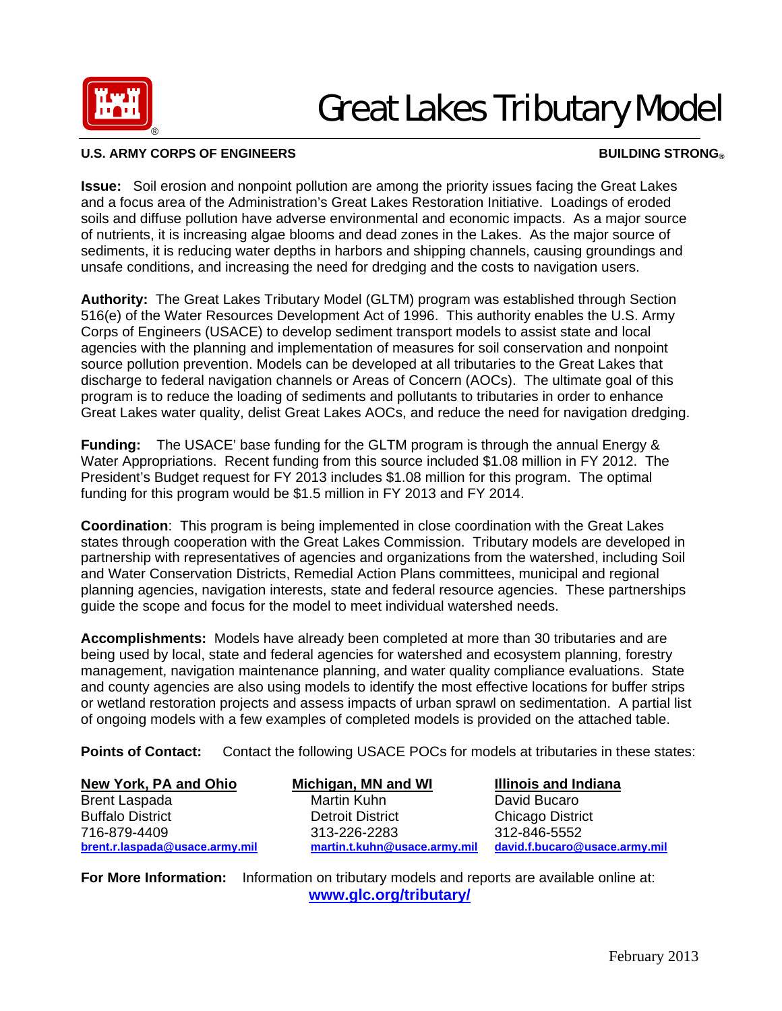

## Great Lakes Tributary Model

## **U.S. ARMY CORPS OF ENGINEERS BUILDING STRONG®**

**Issue:** Soil erosion and nonpoint pollution are among the priority issues facing the Great Lakes and a focus area of the Administration's Great Lakes Restoration Initiative. Loadings of eroded soils and diffuse pollution have adverse environmental and economic impacts. As a major source of nutrients, it is increasing algae blooms and dead zones in the Lakes. As the major source of sediments, it is reducing water depths in harbors and shipping channels, causing groundings and unsafe conditions, and increasing the need for dredging and the costs to navigation users.

**Authority:** The Great Lakes Tributary Model (GLTM) program was established through Section 516(e) of the Water Resources Development Act of 1996. This authority enables the U.S. Army Corps of Engineers (USACE) to develop sediment transport models to assist state and local agencies with the planning and implementation of measures for soil conservation and nonpoint source pollution prevention. Models can be developed at all tributaries to the Great Lakes that discharge to federal navigation channels or Areas of Concern (AOCs). The ultimate goal of this program is to reduce the loading of sediments and pollutants to tributaries in order to enhance Great Lakes water quality, delist Great Lakes AOCs, and reduce the need for navigation dredging.

**Funding:** The USACE' base funding for the GLTM program is through the annual Energy & Water Appropriations. Recent funding from this source included \$1.08 million in FY 2012. The President's Budget request for FY 2013 includes \$1.08 million for this program. The optimal funding for this program would be \$1.5 million in FY 2013 and FY 2014.

**Coordination**: This program is being implemented in close coordination with the Great Lakes states through cooperation with the Great Lakes Commission. Tributary models are developed in partnership with representatives of agencies and organizations from the watershed, including Soil and Water Conservation Districts, Remedial Action Plans committees, municipal and regional planning agencies, navigation interests, state and federal resource agencies. These partnerships guide the scope and focus for the model to meet individual watershed needs.

**Accomplishments:** Models have already been completed at more than 30 tributaries and are being used by local, state and federal agencies for watershed and ecosystem planning, forestry management, navigation maintenance planning, and water quality compliance evaluations. State and county agencies are also using models to identify the most effective locations for buffer strips or wetland restoration projects and assess impacts of urban sprawl on sedimentation. A partial list of ongoing models with a few examples of completed models is provided on the attached table.

**Points of Contact:** Contact the following USACE POCs for models at tributaries in these states:

| New York, PA and Ohio          | Michigan, MN and WI          | <b>Illinois and Indiana</b>   |
|--------------------------------|------------------------------|-------------------------------|
| <b>Brent Laspada</b>           | Martin Kuhn                  | David Bucaro                  |
| <b>Buffalo District</b>        | <b>Detroit District</b>      | <b>Chicago District</b>       |
| 716-879-4409                   | 313-226-2283                 | 312-846-5552                  |
| brent.r.laspada@usace.army.mil | martin.t.kuhn@usace.army.mil | david.f.bucaro@usace.army.mil |

**For More Information:** Information on tributary models and reports are available online at: **www.glc.org/tributary/**